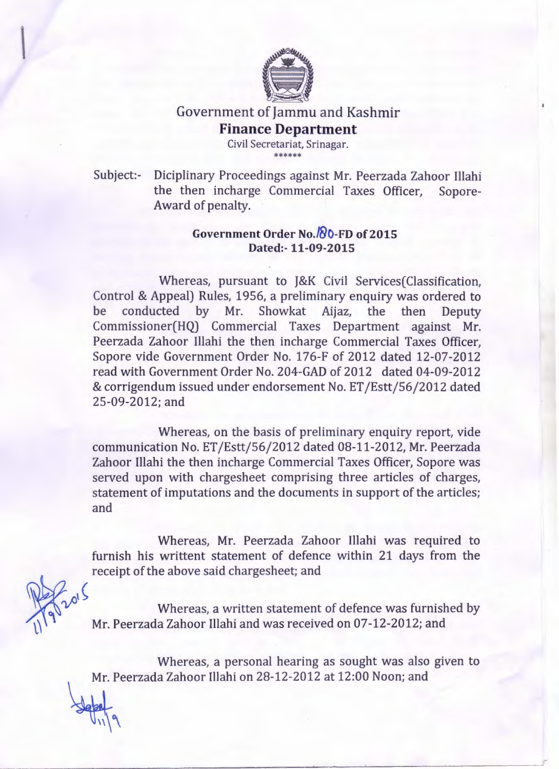

## Government of Jammu and Kashmir **Finance Department**

Civil Secretariat, Srinagar. \*\*\*\*\*\*

Subject:- Diciplinary Proceedings against Mr. Peerzada Zahoor Illahi the then incharge Commercial Taxes Officer, Sopore-Award of penalty.

## **Government Order No./&O-FD of 2015 Dated:- 11-09-2015**

Whereas, pursuant to J&K Civil Services(Classification, Control & Appeal) Rules, 1956, a preliminary enquiry was ordered to be conducted by Mr. Showkat Aijaz, the then Deputy Commissioner(HQ) Commercial Taxes Department against Mr. Peerzada Zahoor Illahi the then incharge Commercial Taxes Officer, Sopore vide Government Order No. 176-F of 2012 dated 12-07-2012 read with Government Order No. 204-GAD of 2012 dated 04-09-2012 & corrigendum issued under endorsement No. ET /Estt/56/2012 dated 25-09-2012; and

Whereas, on the basis of preliminary enquiry report, vide communication No. ET /Estt/56/2012 dated 08-11-2012, Mr. Peerzada Zahoor Illahi the then incharge Commercial Taxes Officer, Sopore was served upon with chargesheet comprising three articles of charges, statement of imputations and the documents in support of the articles; and

Whereas, Mr. Peerzada Zahoor Illahi was required to furnish his writtent statement of defence within 21 days from the receipt of the above said chargesheet; and

 $\mu^{1}$  Mereas, a written statement of defence was furnished by Mr. Peerzada Zahoor Illahi and was received on 07-12-2012; and

Whereas, a personal hearing as sought was also given to Mr. Peerzada Zahoor Illahi on 28-12-2012 at 12:00 Noon; and

 $\mathcal{F}_{\text{u}}$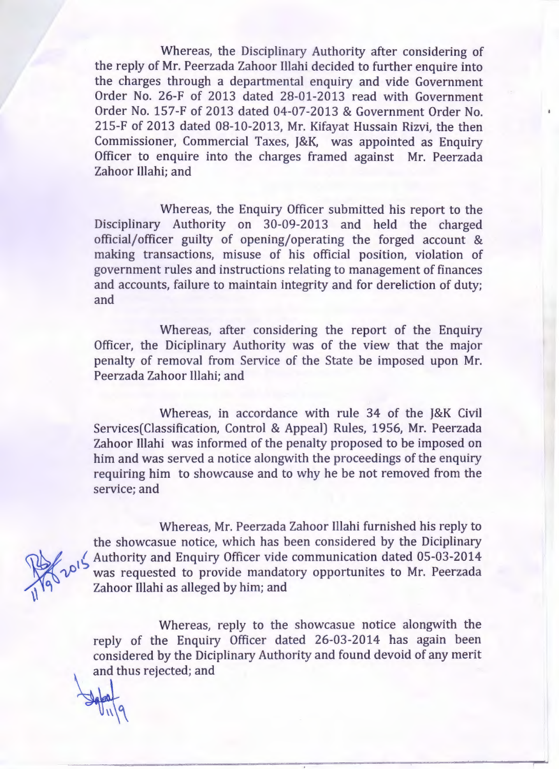Whereas, the Disciplinary Authority after considering of the reply of Mr. Peerzada Zahoor Illahi decided to further enquire into the charges through a departmental enquiry and vide Government Order No. 26-F of 2013 dated 28-01-2013 read with Government Order No. 157-F of 2013 dated 04-07-2013 & Government Order No. 215-F of 2013 dated 08-10-2013, Mr. Kifayat Hussain Rizvi, the then Commissioner, Commercial Taxes, J&K, was appointed as Enquiry Officer to enquire into the charges framed against Mr. Peerzada Zahoor Illahi; and

Whereas, the Enquiry Officer submitted his report to the Disciplinary Authority on 30-09-2013 and held the charged official/ officer guilty of opening/ operating the forged account & making transactions, misuse of his official position, violation of government rules and instructions relating to management of finances and accounts, failure to maintain integrity and for dereliction of duty; and

Whereas, after considering the report of the Enquiry Officer, the Diciplinary Authority was of the view that the major penalty of removal from Service of the State be imposed upon Mr. Peerzada Zahoor Illahi; and

Whereas, in accordance with rule 34 of the J&K Civil Services(Classification, Control & Appeal) Rules, 1956, Mr. Peerzada Zahoor Illahi was informed of the penalty proposed to be imposed on him and was served a notice alongwith the proceedings of the enquiry requiring him to showcause and to why he be not removed from the service; and

 $U_{11}$ |9

Whereas, Mr. Peerzada Zahoor Illahi furnished his reply to the showcasue notice, which has been considered by the Diciplinary Authority and Enquiry Officer vide communication dated 05-03-2014 was requested to provide mandatory opportunites to Mr. Peerzada Zahoor Illahi as alleged by him; and

Whereas, reply to the showcasue notice alongwith the reply of the Enquiry Officer dated 26-03-2014 has again been considered by the Diciplinary Authority and found devoid of any merit and thus rejected; and